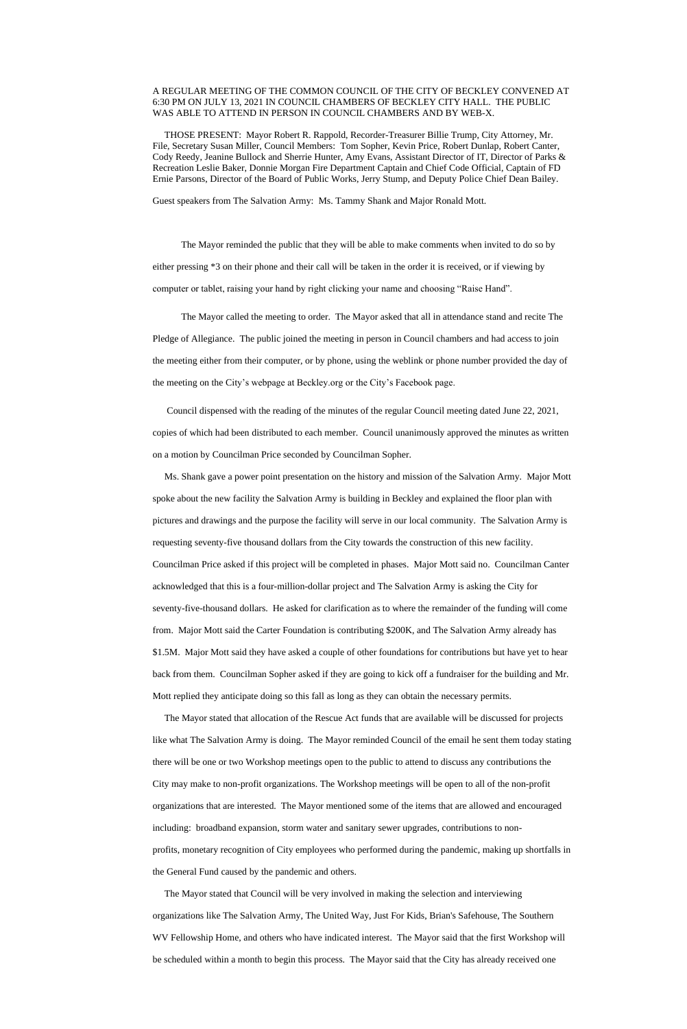## A REGULAR MEETING OF THE COMMON COUNCIL OF THE CITY OF BECKLEY CONVENED AT 6:30 PM ON JULY 13, 2021 IN COUNCIL CHAMBERS OF BECKLEY CITY HALL. THE PUBLIC WAS ABLE TO ATTEND IN PERSON IN COUNCIL CHAMBERS AND BY WEB-X.

 THOSE PRESENT: Mayor Robert R. Rappold, Recorder-Treasurer Billie Trump, City Attorney, Mr. File, Secretary Susan Miller, Council Members: Tom Sopher, Kevin Price, Robert Dunlap, Robert Canter, Cody Reedy, Jeanine Bullock and Sherrie Hunter, Amy Evans, Assistant Director of IT, Director of Parks & Recreation Leslie Baker, Donnie Morgan Fire Department Captain and Chief Code Official, Captain of FD Ernie Parsons, Director of the Board of Public Works, Jerry Stump, and Deputy Police Chief Dean Bailey.

Guest speakers from The Salvation Army: Ms. Tammy Shank and Major Ronald Mott.

The Mayor reminded the public that they will be able to make comments when invited to do so by either pressing \*3 on their phone and their call will be taken in the order it is received, or if viewing by computer or tablet, raising your hand by right clicking your name and choosing "Raise Hand".

The Mayor called the meeting to order. The Mayor asked that all in attendance stand and recite The Pledge of Allegiance. The public joined the meeting in person in Council chambers and had access to join the meeting either from their computer, or by phone, using the weblink or phone number provided the day of the meeting on the City's webpage at Beckley.org or the City's Facebook page.

 Council dispensed with the reading of the minutes of the regular Council meeting dated June 22, 2021, copies of which had been distributed to each member. Council unanimously approved the minutes as written on a motion by Councilman Price seconded by Councilman Sopher.

 Ms. Shank gave a power point presentation on the history and mission of the Salvation Army. Major Mott spoke about the new facility the Salvation Army is building in Beckley and explained the floor plan with pictures and drawings and the purpose the facility will serve in our local community. The Salvation Army is requesting seventy-five thousand dollars from the City towards the construction of this new facility. Councilman Price asked if this project will be completed in phases. Major Mott said no. Councilman Canter acknowledged that this is a four-million-dollar project and The Salvation Army is asking the City for seventy-five-thousand dollars. He asked for clarification as to where the remainder of the funding will come from. Major Mott said the Carter Foundation is contributing \$200K, and The Salvation Army already has \$1.5M. Major Mott said they have asked a couple of other foundations for contributions but have yet to hear back from them. Councilman Sopher asked if they are going to kick off a fundraiser for the building and Mr. Mott replied they anticipate doing so this fall as long as they can obtain the necessary permits.

 The Mayor stated that allocation of the Rescue Act funds that are available will be discussed for projects like what The Salvation Army is doing. The Mayor reminded Council of the email he sent them today stating there will be one or two Workshop meetings open to the public to attend to discuss any contributions the City may make to non-profit organizations. The Workshop meetings will be open to all of the non-profit organizations that are interested. The Mayor mentioned some of the items that are allowed and encouraged including: broadband expansion, storm water and sanitary sewer upgrades, contributions to nonprofits, monetary recognition of City employees who performed during the pandemic, making up shortfalls in the General Fund caused by the pandemic and others.

 The Mayor stated that Council will be very involved in making the selection and interviewing organizations like The Salvation Army, The United Way, Just For Kids, Brian's Safehouse, The Southern WV Fellowship Home, and others who have indicated interest. The Mayor said that the first Workshop will be scheduled within a month to begin this process. The Mayor said that the City has already received one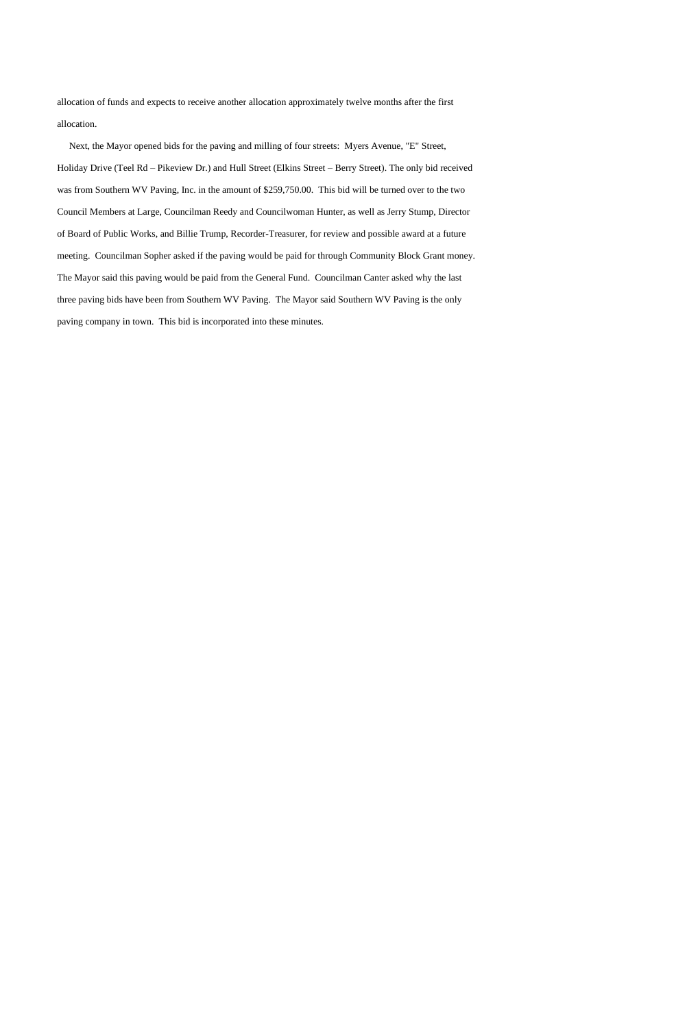allocation of funds and expects to receive another allocation approximately twelve months after the first allocation.

 Next, the Mayor opened bids for the paving and milling of four streets: Myers Avenue, "E" Street, Holiday Drive (Teel Rd – Pikeview Dr.) and Hull Street (Elkins Street – Berry Street). The only bid received was from Southern WV Paving, Inc. in the amount of \$259,750.00. This bid will be turned over to the two Council Members at Large, Councilman Reedy and Councilwoman Hunter, as well as Jerry Stump, Director of Board of Public Works, and Billie Trump, Recorder-Treasurer, for review and possible award at a future meeting. Councilman Sopher asked if the paving would be paid for through Community Block Grant money. The Mayor said this paving would be paid from the General Fund. Councilman Canter asked why the last three paving bids have been from Southern WV Paving. The Mayor said Southern WV Paving is the only paving company in town. This bid is incorporated into these minutes.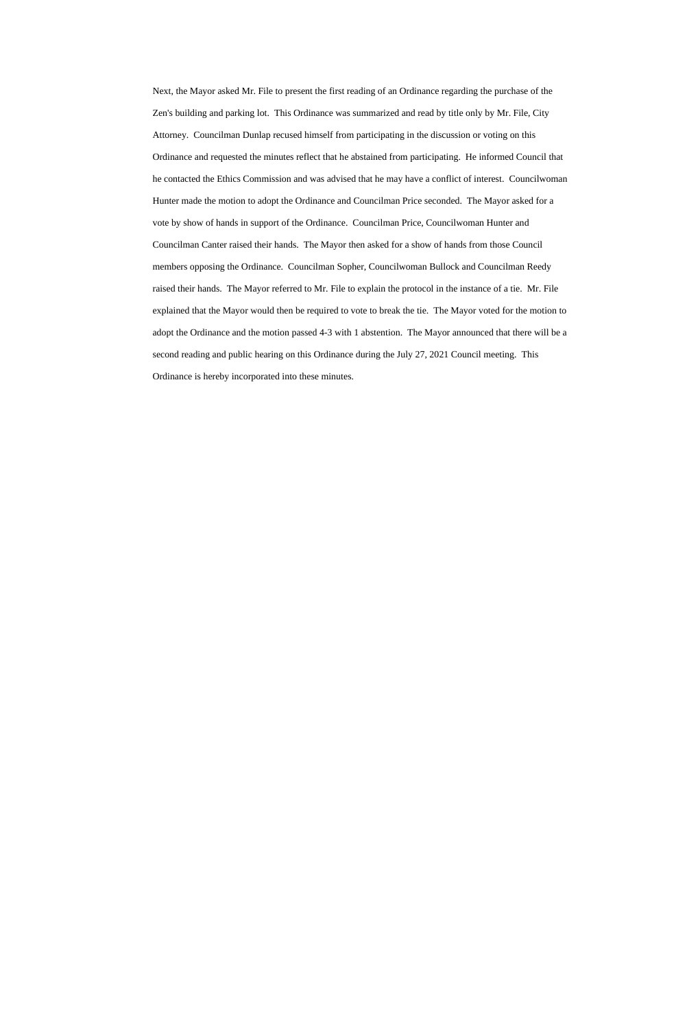Next, the Mayor asked Mr. File to present the first reading of an Ordinance regarding the purchase of the Zen's building and parking lot. This Ordinance was summarized and read by title only by Mr. File, City Attorney. Councilman Dunlap recused himself from participating in the discussion or voting on this Ordinance and requested the minutes reflect that he abstained from participating. He informed Council that he contacted the Ethics Commission and was advised that he may have a conflict of interest. Councilwoman Hunter made the motion to adopt the Ordinance and Councilman Price seconded. The Mayor asked for a vote by show of hands in support of the Ordinance. Councilman Price, Councilwoman Hunter and Councilman Canter raised their hands. The Mayor then asked for a show of hands from those Council members opposing the Ordinance. Councilman Sopher, Councilwoman Bullock and Councilman Reedy raised their hands. The Mayor referred to Mr. File to explain the protocol in the instance of a tie. Mr. File explained that the Mayor would then be required to vote to break the tie. The Mayor voted for the motion to adopt the Ordinance and the motion passed 4-3 with 1 abstention. The Mayor announced that there will be a second reading and public hearing on this Ordinance during the July 27, 2021 Council meeting. This Ordinance is hereby incorporated into these minutes.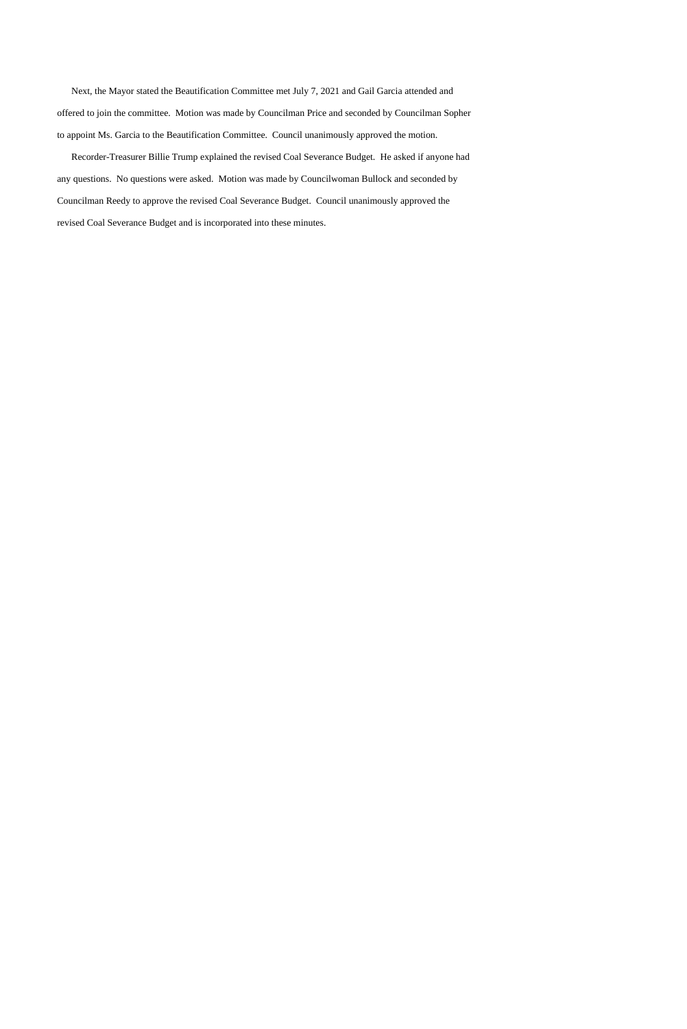Next, the Mayor stated the Beautification Committee met July 7, 2021 and Gail Garcia attended and offered to join the committee. Motion was made by Councilman Price and seconded by Councilman Sopher to appoint Ms. Garcia to the Beautification Committee. Council unanimously approved the motion.

 Recorder-Treasurer Billie Trump explained the revised Coal Severance Budget. He asked if anyone had any questions. No questions were asked. Motion was made by Councilwoman Bullock and seconded by Councilman Reedy to approve the revised Coal Severance Budget. Council unanimously approved the revised Coal Severance Budget and is incorporated into these minutes.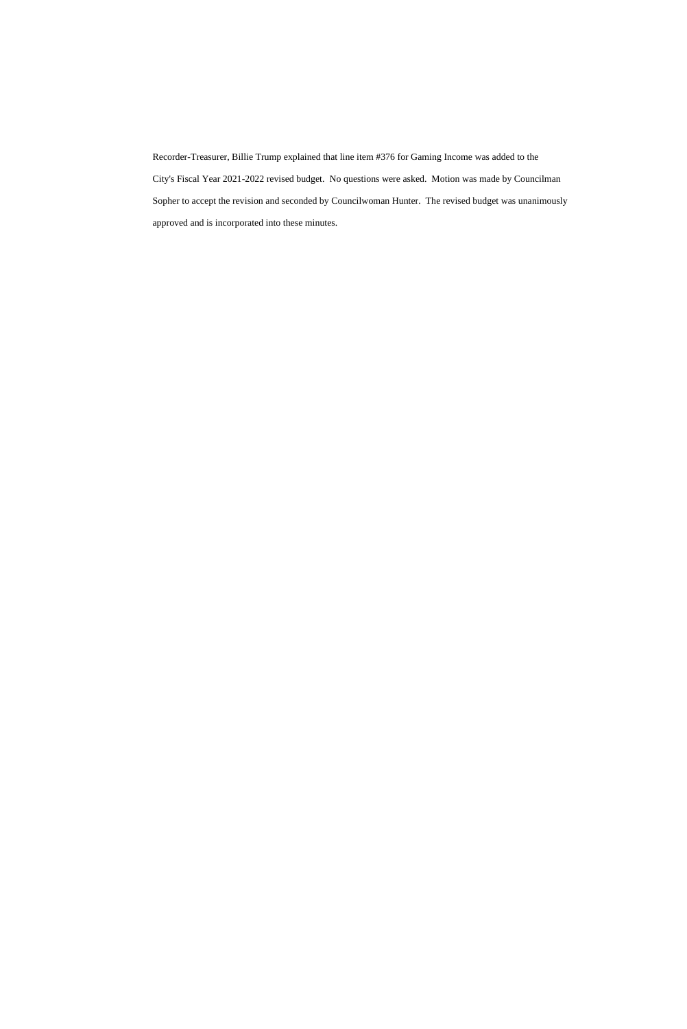Recorder-Treasurer, Billie Trump explained that line item #376 for Gaming Income was added to the City's Fiscal Year 2021-2022 revised budget. No questions were asked. Motion was made by Councilman Sopher to accept the revision and seconded by Councilwoman Hunter. The revised budget was unanimously approved and is incorporated into these minutes.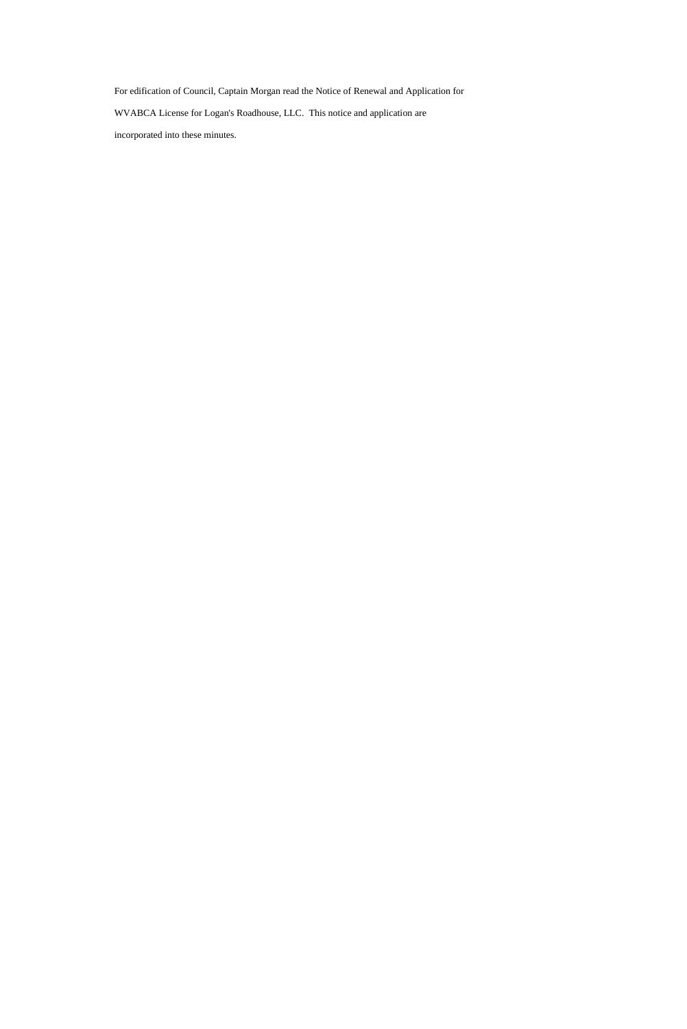For edification of Council, Captain Morgan read the Notice of Renewal and Application for

WVABCA License for Logan's Roadhouse, LLC. This notice and application are

incorporated into these minutes.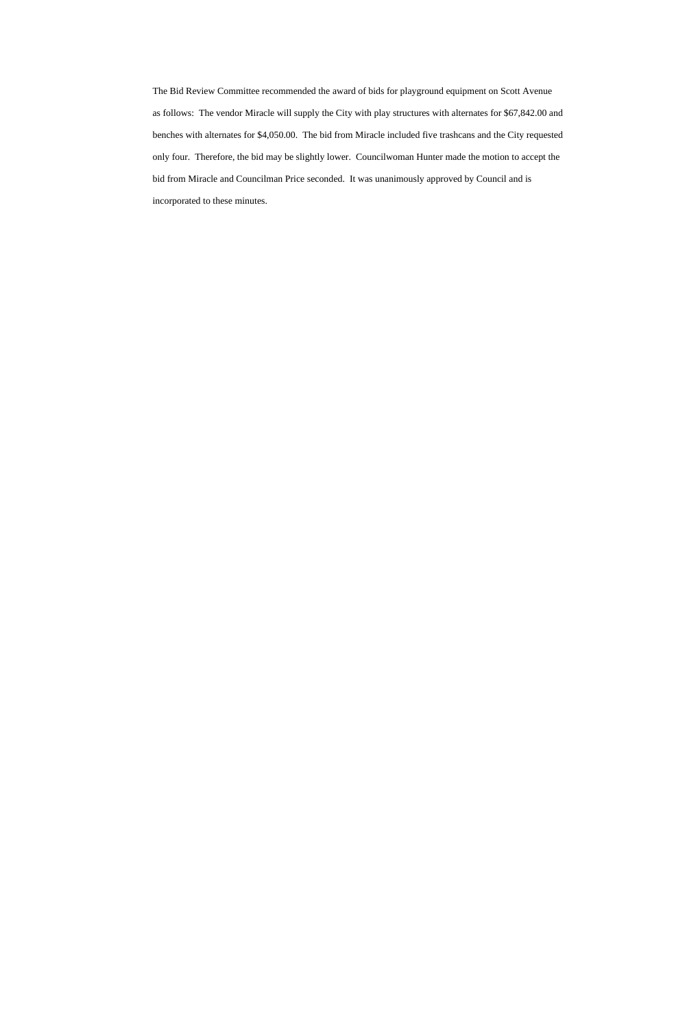The Bid Review Committee recommended the award of bids for playground equipment on Scott Avenue as follows: The vendor Miracle will supply the City with play structures with alternates for \$67,842.00 and benches with alternates for \$4,050.00. The bid from Miracle included five trashcans and the City requested only four. Therefore, the bid may be slightly lower. Councilwoman Hunter made the motion to accept the bid from Miracle and Councilman Price seconded. It was unanimously approved by Council and is incorporated to these minutes.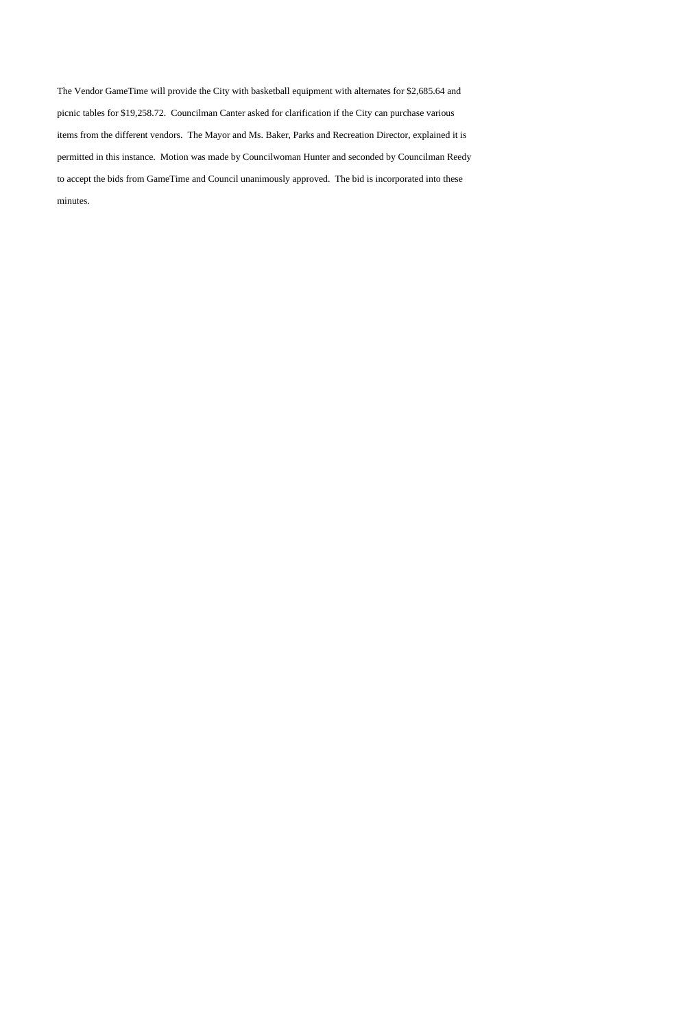The Vendor GameTime will provide the City with basketball equipment with alternates for \$2,685.64 and picnic tables for \$19,258.72. Councilman Canter asked for clarification if the City can purchase various items from the different vendors. The Mayor and Ms. Baker, Parks and Recreation Director, explained it is permitted in this instance. Motion was made by Councilwoman Hunter and seconded by Councilman Reedy to accept the bids from GameTime and Council unanimously approved. The bid is incorporated into these minutes.